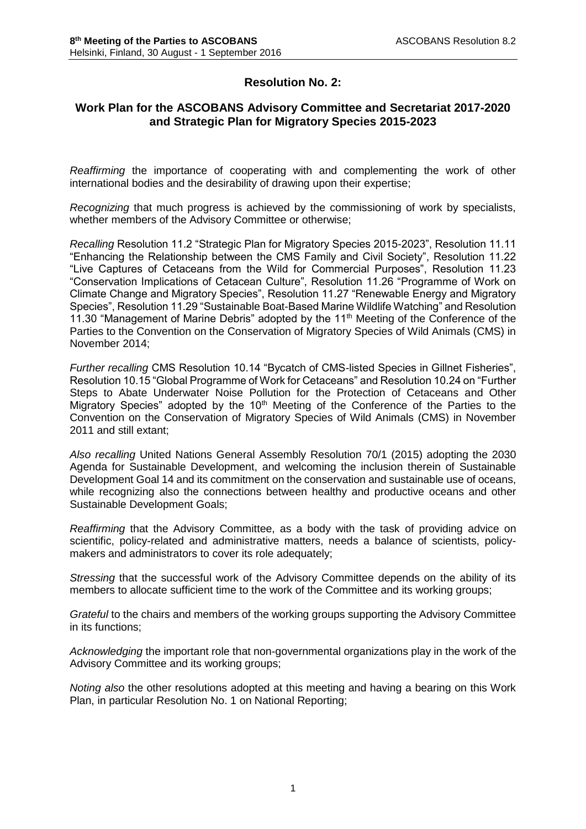# **Resolution No. 2:**

# **Work Plan for the ASCOBANS Advisory Committee and Secretariat 2017-2020 and Strategic Plan for Migratory Species 2015-2023**

*Reaffirming* the importance of cooperating with and complementing the work of other international bodies and the desirability of drawing upon their expertise;

*Recognizing* that much progress is achieved by the commissioning of work by specialists, whether members of the Advisory Committee or otherwise;

*Recalling* Resolution 11.2 "Strategic Plan for Migratory Species 2015-2023", Resolution 11.11 "Enhancing the Relationship between the CMS Family and Civil Society", Resolution 11.22 "Live Captures of Cetaceans from the Wild for Commercial Purposes", Resolution 11.23 "Conservation Implications of Cetacean Culture", Resolution 11.26 "Programme of Work on Climate Change and Migratory Species", Resolution 11.27 "Renewable Energy and Migratory Species", Resolution 11.29 "Sustainable Boat-Based Marine Wildlife Watching" and Resolution 11.30 "Management of Marine Debris" adopted by the 11<sup>th</sup> Meeting of the Conference of the Parties to the Convention on the Conservation of Migratory Species of Wild Animals (CMS) in November 2014;

*Further recalling* CMS Resolution 10.14 "Bycatch of CMS-listed Species in Gillnet Fisheries", Resolution 10.15 "Global Programme of Work for Cetaceans" and Resolution 10.24 on "Further Steps to Abate Underwater Noise Pollution for the Protection of Cetaceans and Other Migratory Species" adopted by the 10<sup>th</sup> Meeting of the Conference of the Parties to the Convention on the Conservation of Migratory Species of Wild Animals (CMS) in November 2011 and still extant;

*Also recalling* United Nations General Assembly Resolution 70/1 (2015) adopting the 2030 Agenda for Sustainable Development, and welcoming the inclusion therein of Sustainable Development Goal 14 and its commitment on the conservation and sustainable use of oceans, while recognizing also the connections between healthy and productive oceans and other Sustainable Development Goals;

*Reaffirming* that the Advisory Committee, as a body with the task of providing advice on scientific, policy-related and administrative matters, needs a balance of scientists, policymakers and administrators to cover its role adequately;

*Stressing* that the successful work of the Advisory Committee depends on the ability of its members to allocate sufficient time to the work of the Committee and its working groups;

*Grateful* to the chairs and members of the working groups supporting the Advisory Committee in its functions;

*Acknowledging* the important role that non-governmental organizations play in the work of the Advisory Committee and its working groups;

*Noting also* the other resolutions adopted at this meeting and having a bearing on this Work Plan, in particular Resolution No. 1 on National Reporting;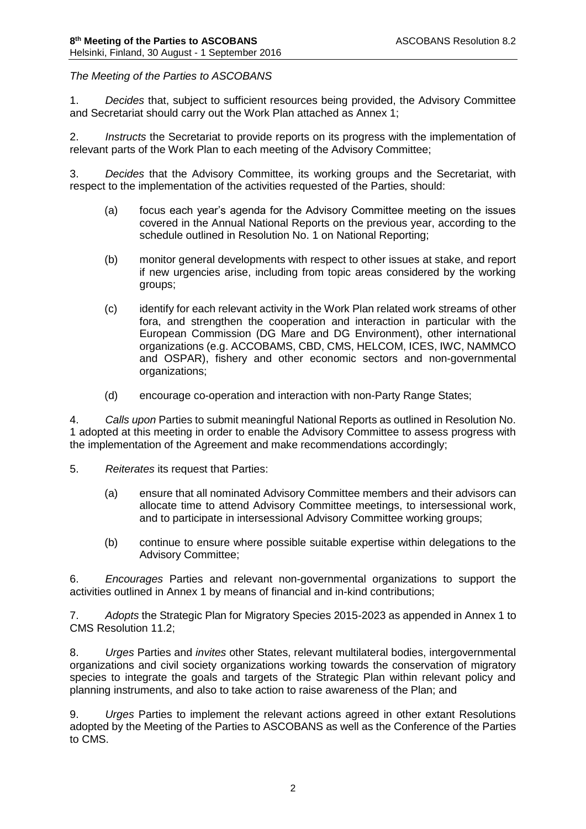# *The Meeting of the Parties to ASCOBANS*

1. *Decides* that, subject to sufficient resources being provided, the Advisory Committee and Secretariat should carry out the Work Plan attached as Annex 1;

2. *Instructs* the Secretariat to provide reports on its progress with the implementation of relevant parts of the Work Plan to each meeting of the Advisory Committee;

3. *Decides* that the Advisory Committee, its working groups and the Secretariat, with respect to the implementation of the activities requested of the Parties, should:

- (a) focus each year's agenda for the Advisory Committee meeting on the issues covered in the Annual National Reports on the previous year, according to the schedule outlined in Resolution No. 1 on National Reporting;
- (b) monitor general developments with respect to other issues at stake, and report if new urgencies arise, including from topic areas considered by the working groups;
- (c) identify for each relevant activity in the Work Plan related work streams of other fora, and strengthen the cooperation and interaction in particular with the European Commission (DG Mare and DG Environment), other international organizations (e.g. ACCOBAMS, CBD, CMS, HELCOM, ICES, IWC, NAMMCO and OSPAR), fishery and other economic sectors and non-governmental organizations;
- (d) encourage co-operation and interaction with non-Party Range States;

4. *Calls upon* Parties to submit meaningful National Reports as outlined in Resolution No. 1 adopted at this meeting in order to enable the Advisory Committee to assess progress with the implementation of the Agreement and make recommendations accordingly;

- 5. *Reiterates* its request that Parties:
	- (a) ensure that all nominated Advisory Committee members and their advisors can allocate time to attend Advisory Committee meetings, to intersessional work, and to participate in intersessional Advisory Committee working groups;
	- (b) continue to ensure where possible suitable expertise within delegations to the Advisory Committee;

6. *Encourages* Parties and relevant non-governmental organizations to support the activities outlined in Annex 1 by means of financial and in-kind contributions;

7. *Adopts* the Strategic Plan for Migratory Species 2015-2023 as appended in Annex 1 to CMS Resolution 11.2;

8. *Urges* Parties and *invites* other States, relevant multilateral bodies, intergovernmental organizations and civil society organizations working towards the conservation of migratory species to integrate the goals and targets of the Strategic Plan within relevant policy and planning instruments, and also to take action to raise awareness of the Plan; and

9. *Urges* Parties to implement the relevant actions agreed in other extant Resolutions adopted by the Meeting of the Parties to ASCOBANS as well as the Conference of the Parties to CMS.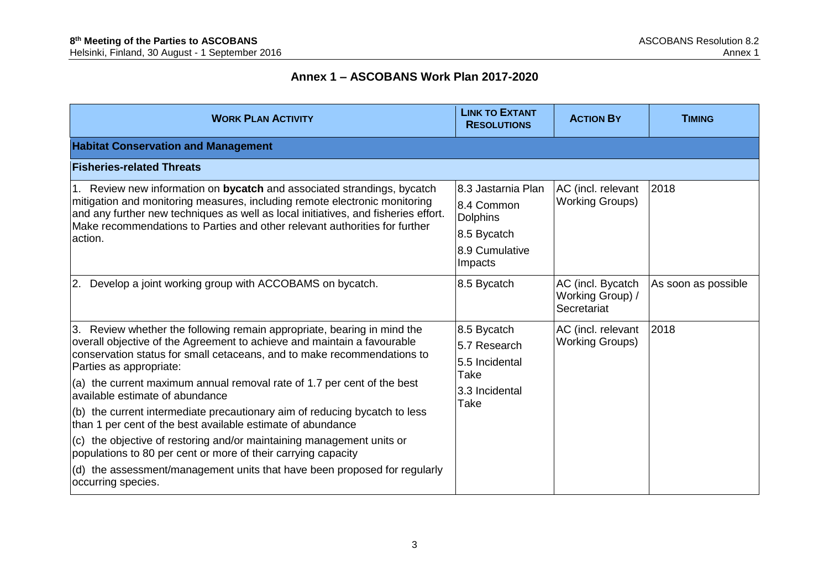# **Annex 1 – ASCOBANS Work Plan 2017-2020**

| <b>WORK PLAN ACTIVITY</b>                                                                                                                                                                                                                                                                                                                                                                                                                                                                                                                                                                                                                                                                                                                                        | <b>LINK TO EXTANT</b><br><b>RESOLUTIONS</b>                                                     | <b>ACTION BY</b>                                     | <b>TIMING</b>       |
|------------------------------------------------------------------------------------------------------------------------------------------------------------------------------------------------------------------------------------------------------------------------------------------------------------------------------------------------------------------------------------------------------------------------------------------------------------------------------------------------------------------------------------------------------------------------------------------------------------------------------------------------------------------------------------------------------------------------------------------------------------------|-------------------------------------------------------------------------------------------------|------------------------------------------------------|---------------------|
| <b>Habitat Conservation and Management</b>                                                                                                                                                                                                                                                                                                                                                                                                                                                                                                                                                                                                                                                                                                                       |                                                                                                 |                                                      |                     |
| <b>Fisheries-related Threats</b>                                                                                                                                                                                                                                                                                                                                                                                                                                                                                                                                                                                                                                                                                                                                 |                                                                                                 |                                                      |                     |
| 1. Review new information on bycatch and associated strandings, bycatch<br>mitigation and monitoring measures, including remote electronic monitoring<br>and any further new techniques as well as local initiatives, and fisheries effort.<br>Make recommendations to Parties and other relevant authorities for further<br>action.                                                                                                                                                                                                                                                                                                                                                                                                                             | 8.3 Jastarnia Plan<br>8.4 Common<br><b>Dolphins</b><br>8.5 Bycatch<br>8.9 Cumulative<br>Impacts | AC (incl. relevant<br><b>Working Groups)</b>         | 2018                |
| 2. Develop a joint working group with ACCOBAMS on bycatch.                                                                                                                                                                                                                                                                                                                                                                                                                                                                                                                                                                                                                                                                                                       | 8.5 Bycatch                                                                                     | AC (incl. Bycatch<br>Working Group) /<br>Secretariat | As soon as possible |
| 3. Review whether the following remain appropriate, bearing in mind the<br>overall objective of the Agreement to achieve and maintain a favourable<br>conservation status for small cetaceans, and to make recommendations to<br>Parties as appropriate:<br>(a) the current maximum annual removal rate of 1.7 per cent of the best<br>available estimate of abundance<br>(b) the current intermediate precautionary aim of reducing bycatch to less<br>than 1 per cent of the best available estimate of abundance<br>(c) the objective of restoring and/or maintaining management units or<br>populations to 80 per cent or more of their carrying capacity<br>(d) the assessment/management units that have been proposed for regularly<br>occurring species. | 8.5 Bycatch<br>5.7 Research<br>5.5 Incidental<br>Take<br>3.3 Incidental<br>Take                 | AC (incl. relevant<br><b>Working Groups)</b>         | 2018                |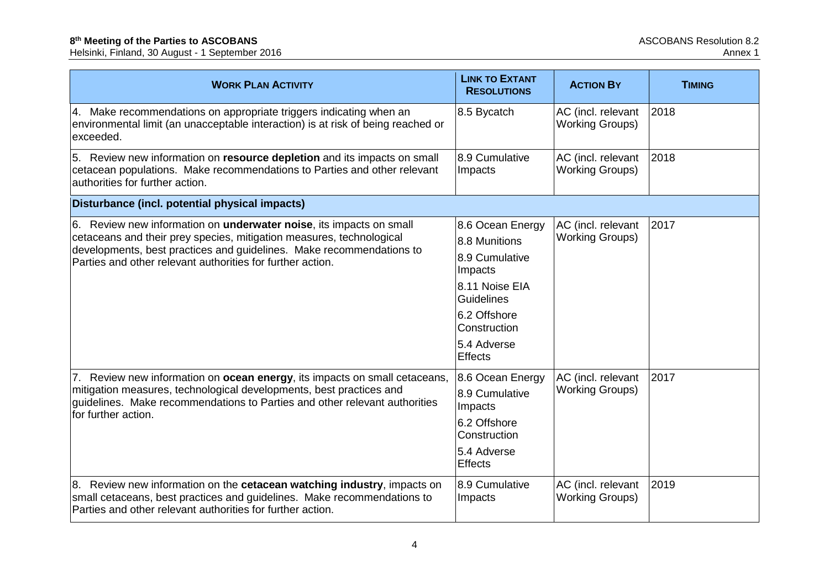| <b>WORK PLAN ACTIVITY</b>                                                                                                                                                                                        | <b>LINK TO EXTANT</b><br><b>RESOLUTIONS</b> | <b>ACTION BY</b>                             | <b>TIMING</b> |
|------------------------------------------------------------------------------------------------------------------------------------------------------------------------------------------------------------------|---------------------------------------------|----------------------------------------------|---------------|
| 4. Make recommendations on appropriate triggers indicating when an<br>environmental limit (an unacceptable interaction) is at risk of being reached or<br>exceeded.                                              | 8.5 Bycatch                                 | AC (incl. relevant<br><b>Working Groups)</b> | 2018          |
| 5. Review new information on resource depletion and its impacts on small<br>cetacean populations. Make recommendations to Parties and other relevant<br>authorities for further action.                          | 8.9 Cumulative<br>Impacts                   | AC (incl. relevant<br><b>Working Groups)</b> | 2018          |
| Disturbance (incl. potential physical impacts)                                                                                                                                                                   |                                             |                                              |               |
| 6. Review new information on <b>underwater noise</b> , its impacts on small                                                                                                                                      | 8.6 Ocean Energy                            | AC (incl. relevant                           | 2017          |
| cetaceans and their prey species, mitigation measures, technological<br>developments, best practices and guidelines. Make recommendations to                                                                     | 8.8 Munitions                               | <b>Working Groups)</b>                       |               |
| Parties and other relevant authorities for further action.                                                                                                                                                       | 8.9 Cumulative<br>Impacts                   |                                              |               |
|                                                                                                                                                                                                                  | 8.11 Noise EIA<br>Guidelines                |                                              |               |
|                                                                                                                                                                                                                  | 6.2 Offshore<br>Construction                |                                              |               |
|                                                                                                                                                                                                                  | 5.4 Adverse<br><b>Effects</b>               |                                              |               |
| 7. Review new information on ocean energy, its impacts on small cetaceans,                                                                                                                                       | 8.6 Ocean Energy                            | AC (incl. relevant                           | 2017          |
| mitigation measures, technological developments, best practices and<br>guidelines. Make recommendations to Parties and other relevant authorities<br>for further action.                                         | 8.9 Cumulative<br>Impacts                   | <b>Working Groups)</b>                       |               |
|                                                                                                                                                                                                                  | 6.2 Offshore<br>Construction                |                                              |               |
|                                                                                                                                                                                                                  | 5.4 Adverse<br>Effects                      |                                              |               |
| 8. Review new information on the cetacean watching industry, impacts on<br>small cetaceans, best practices and guidelines. Make recommendations to<br>Parties and other relevant authorities for further action. | 8.9 Cumulative<br>Impacts                   | AC (incl. relevant<br><b>Working Groups)</b> | 2019          |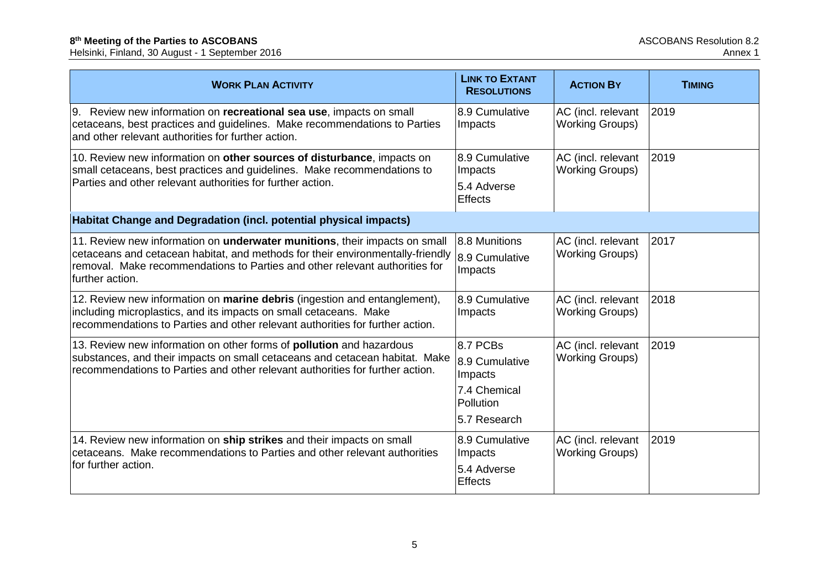| <b>WORK PLAN ACTIVITY</b>                                                                                                                                                                                                                                              | <b>LINK TO EXTANT</b><br><b>RESOLUTIONS</b> | <b>ACTION BY</b>                             | <b>TIMING</b> |
|------------------------------------------------------------------------------------------------------------------------------------------------------------------------------------------------------------------------------------------------------------------------|---------------------------------------------|----------------------------------------------|---------------|
| 9. Review new information on recreational sea use, impacts on small<br>cetaceans, best practices and guidelines. Make recommendations to Parties<br>and other relevant authorities for further action.                                                                 | 8.9 Cumulative<br>Impacts                   | AC (incl. relevant<br><b>Working Groups)</b> | 2019          |
| 10. Review new information on other sources of disturbance, impacts on<br>small cetaceans, best practices and guidelines. Make recommendations to<br>Parties and other relevant authorities for further action.                                                        | 8.9 Cumulative<br>Impacts<br>5.4 Adverse    | AC (incl. relevant<br><b>Working Groups)</b> | 2019          |
|                                                                                                                                                                                                                                                                        | Effects                                     |                                              |               |
| Habitat Change and Degradation (incl. potential physical impacts)                                                                                                                                                                                                      |                                             |                                              |               |
| 11. Review new information on <b>underwater munitions</b> , their impacts on small<br>cetaceans and cetacean habitat, and methods for their environmentally-friendly<br>removal. Make recommendations to Parties and other relevant authorities for<br>further action. | 8.8 Munitions<br>8.9 Cumulative<br>Impacts  | AC (incl. relevant<br><b>Working Groups)</b> | 2017          |
| 12. Review new information on <b>marine debris</b> (ingestion and entanglement),<br>including microplastics, and its impacts on small cetaceans. Make<br>recommendations to Parties and other relevant authorities for further action.                                 | 8.9 Cumulative<br>Impacts                   | AC (incl. relevant<br><b>Working Groups)</b> | 2018          |
| 13. Review new information on other forms of <b>pollution</b> and hazardous<br>substances, and their impacts on small cetaceans and cetacean habitat. Make                                                                                                             | 8.7 PCBs                                    | AC (incl. relevant<br><b>Working Groups)</b> | 2019          |
| recommendations to Parties and other relevant authorities for further action.                                                                                                                                                                                          | 8.9 Cumulative<br>Impacts                   |                                              |               |
|                                                                                                                                                                                                                                                                        | 7.4 Chemical<br><b>Pollution</b>            |                                              |               |
|                                                                                                                                                                                                                                                                        | 5.7 Research                                |                                              |               |
| 14. Review new information on ship strikes and their impacts on small<br>cetaceans. Make recommendations to Parties and other relevant authorities                                                                                                                     | 8.9 Cumulative<br>Impacts                   | AC (incl. relevant<br><b>Working Groups)</b> | 2019          |
| for further action.                                                                                                                                                                                                                                                    | 5.4 Adverse<br><b>Effects</b>               |                                              |               |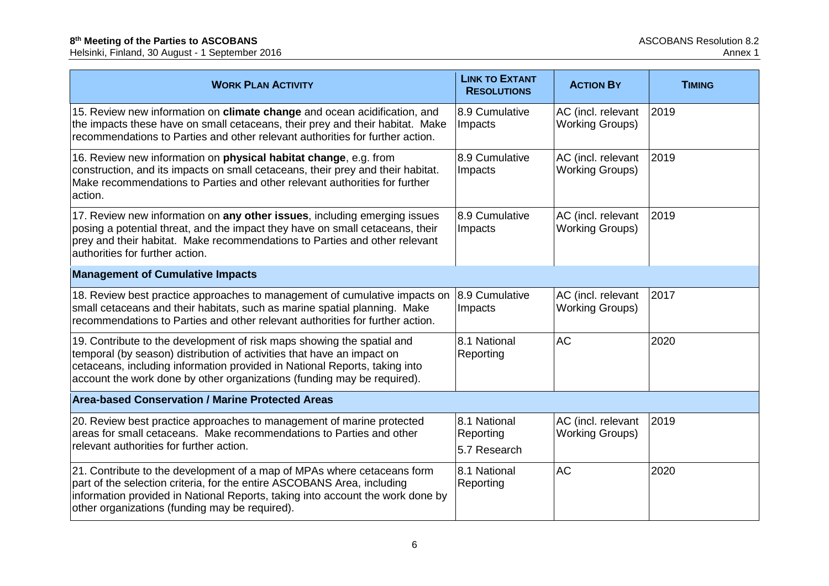| <b>WORK PLAN ACTIVITY</b>                                                                                                                                                                                                                                                                                 | <b>LINK TO EXTANT</b><br><b>RESOLUTIONS</b> | <b>ACTION BY</b>                             | <b>TIMING</b> |
|-----------------------------------------------------------------------------------------------------------------------------------------------------------------------------------------------------------------------------------------------------------------------------------------------------------|---------------------------------------------|----------------------------------------------|---------------|
| 15. Review new information on climate change and ocean acidification, and<br>the impacts these have on small cetaceans, their prey and their habitat. Make<br>recommendations to Parties and other relevant authorities for further action.                                                               | 8.9 Cumulative<br>Impacts                   | AC (incl. relevant<br><b>Working Groups)</b> | 2019          |
| 16. Review new information on physical habitat change, e.g. from<br>construction, and its impacts on small cetaceans, their prey and their habitat.<br>Make recommendations to Parties and other relevant authorities for further<br>action.                                                              | 8.9 Cumulative<br>Impacts                   | AC (incl. relevant<br><b>Working Groups)</b> | 2019          |
| 17. Review new information on any other issues, including emerging issues<br>posing a potential threat, and the impact they have on small cetaceans, their<br>prey and their habitat. Make recommendations to Parties and other relevant<br>authorities for further action.                               | 8.9 Cumulative<br>Impacts                   | AC (incl. relevant<br><b>Working Groups)</b> | 2019          |
| <b>Management of Cumulative Impacts</b>                                                                                                                                                                                                                                                                   |                                             |                                              |               |
| 18. Review best practice approaches to management of cumulative impacts on 8.9 Cumulative<br>small cetaceans and their habitats, such as marine spatial planning. Make<br>recommendations to Parties and other relevant authorities for further action.                                                   | Impacts                                     | AC (incl. relevant<br><b>Working Groups)</b> | 2017          |
| 19. Contribute to the development of risk maps showing the spatial and<br>temporal (by season) distribution of activities that have an impact on<br>cetaceans, including information provided in National Reports, taking into<br>account the work done by other organizations (funding may be required). | 8.1 National<br>Reporting                   | <b>AC</b>                                    | 2020          |
| <b>Area-based Conservation / Marine Protected Areas</b>                                                                                                                                                                                                                                                   |                                             |                                              |               |
| 20. Review best practice approaches to management of marine protected<br>areas for small cetaceans. Make recommendations to Parties and other<br>relevant authorities for further action.                                                                                                                 | 8.1 National<br>Reporting                   | AC (incl. relevant<br><b>Working Groups)</b> | 2019          |
|                                                                                                                                                                                                                                                                                                           | 5.7 Research                                |                                              |               |
| 21. Contribute to the development of a map of MPAs where cetaceans form<br>part of the selection criteria, for the entire ASCOBANS Area, including<br>information provided in National Reports, taking into account the work done by<br>other organizations (funding may be required).                    | 8.1 National<br>Reporting                   | <b>AC</b>                                    | 2020          |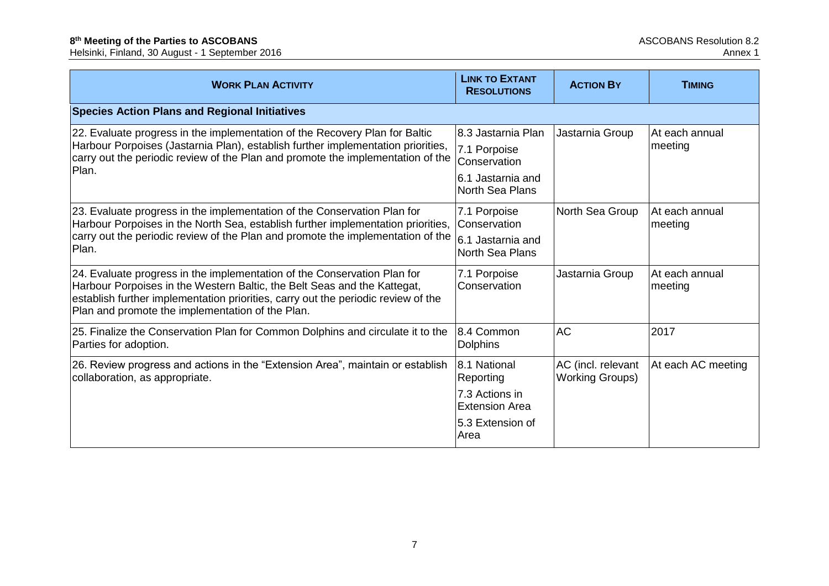| <b>WORK PLAN ACTIVITY</b>                                                                                                                                                                                                                                                                     | <b>LINK TO EXTANT</b><br><b>RESOLUTIONS</b>                                                       | <b>ACTION BY</b>                             | <b>TIMING</b>             |
|-----------------------------------------------------------------------------------------------------------------------------------------------------------------------------------------------------------------------------------------------------------------------------------------------|---------------------------------------------------------------------------------------------------|----------------------------------------------|---------------------------|
| <b>Species Action Plans and Regional Initiatives</b>                                                                                                                                                                                                                                          |                                                                                                   |                                              |                           |
| 22. Evaluate progress in the implementation of the Recovery Plan for Baltic<br>Harbour Porpoises (Jastarnia Plan), establish further implementation priorities,<br>carry out the periodic review of the Plan and promote the implementation of the<br>Plan.                                   | 8.3 Jastarnia Plan<br>7.1 Porpoise<br>Conservation<br>6.1 Jastarnia and<br><b>North Sea Plans</b> | Jastarnia Group                              | At each annual<br>meeting |
| 23. Evaluate progress in the implementation of the Conservation Plan for<br>Harbour Porpoises in the North Sea, establish further implementation priorities,<br>carry out the periodic review of the Plan and promote the implementation of the<br>Plan.                                      | 7.1 Porpoise<br>Conservation<br>6.1 Jastarnia and<br><b>North Sea Plans</b>                       | North Sea Group                              | At each annual<br>meeting |
| 24. Evaluate progress in the implementation of the Conservation Plan for<br>Harbour Porpoises in the Western Baltic, the Belt Seas and the Kattegat,<br>establish further implementation priorities, carry out the periodic review of the<br>Plan and promote the implementation of the Plan. | 7.1 Porpoise<br>Conservation                                                                      | Jastarnia Group                              | At each annual<br>meeting |
| 25. Finalize the Conservation Plan for Common Dolphins and circulate it to the<br>Parties for adoption.                                                                                                                                                                                       | 8.4 Common<br><b>Dolphins</b>                                                                     | <b>AC</b>                                    | 2017                      |
| 26. Review progress and actions in the "Extension Area", maintain or establish<br>collaboration, as appropriate.                                                                                                                                                                              | 8.1 National<br>Reporting<br>7.3 Actions in<br><b>Extension Area</b><br>5.3 Extension of<br>Area  | AC (incl. relevant<br><b>Working Groups)</b> | At each AC meeting        |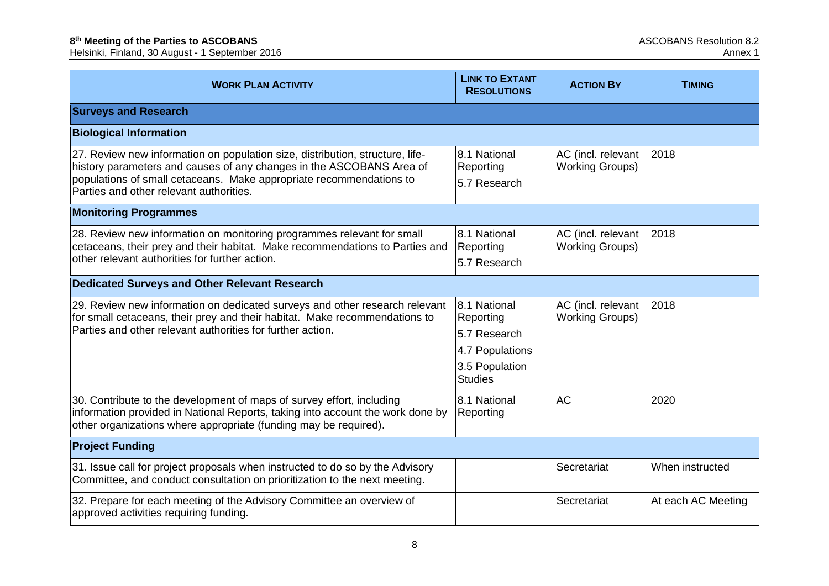| <b>WORK PLAN ACTIVITY</b>                                                                                                                                                                                                                                               | <b>LINK TO EXTANT</b><br><b>RESOLUTIONS</b>                                                      | <b>ACTION BY</b>                             | <b>TIMING</b>      |
|-------------------------------------------------------------------------------------------------------------------------------------------------------------------------------------------------------------------------------------------------------------------------|--------------------------------------------------------------------------------------------------|----------------------------------------------|--------------------|
| <b>Surveys and Research</b>                                                                                                                                                                                                                                             |                                                                                                  |                                              |                    |
| <b>Biological Information</b>                                                                                                                                                                                                                                           |                                                                                                  |                                              |                    |
| 27. Review new information on population size, distribution, structure, life-<br>history parameters and causes of any changes in the ASCOBANS Area of<br>populations of small cetaceans. Make appropriate recommendations to<br>Parties and other relevant authorities. | 8.1 National<br>Reporting<br>5.7 Research                                                        | AC (incl. relevant<br><b>Working Groups)</b> | 2018               |
| <b>Monitoring Programmes</b>                                                                                                                                                                                                                                            |                                                                                                  |                                              |                    |
| 28. Review new information on monitoring programmes relevant for small<br>cetaceans, their prey and their habitat. Make recommendations to Parties and<br>other relevant authorities for further action.                                                                | 8.1 National<br>Reporting<br>5.7 Research                                                        | AC (incl. relevant<br><b>Working Groups)</b> | 2018               |
| <b>Dedicated Surveys and Other Relevant Research</b>                                                                                                                                                                                                                    |                                                                                                  |                                              |                    |
| 29. Review new information on dedicated surveys and other research relevant<br>for small cetaceans, their prey and their habitat. Make recommendations to<br>Parties and other relevant authorities for further action.                                                 | 8.1 National<br>Reporting<br>5.7 Research<br>4.7 Populations<br>3.5 Population<br><b>Studies</b> | AC (incl. relevant<br><b>Working Groups)</b> | 2018               |
| 30. Contribute to the development of maps of survey effort, including<br>information provided in National Reports, taking into account the work done by<br>other organizations where appropriate (funding may be required).                                             | 8.1 National<br>Reporting                                                                        | <b>AC</b>                                    | 2020               |
| <b>Project Funding</b>                                                                                                                                                                                                                                                  |                                                                                                  |                                              |                    |
| 31. Issue call for project proposals when instructed to do so by the Advisory<br>Committee, and conduct consultation on prioritization to the next meeting.                                                                                                             |                                                                                                  | Secretariat                                  | When instructed    |
| 32. Prepare for each meeting of the Advisory Committee an overview of<br>approved activities requiring funding.                                                                                                                                                         |                                                                                                  | Secretariat                                  | At each AC Meeting |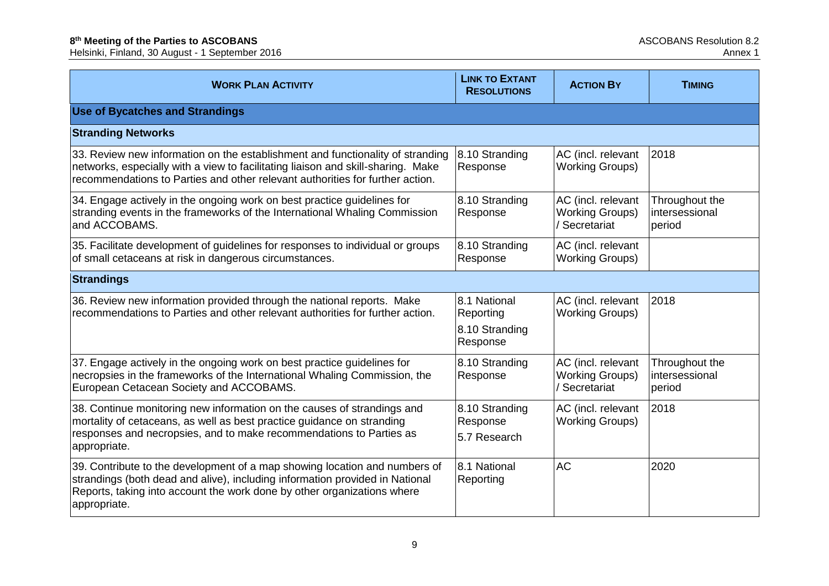| <b>WORK PLAN ACTIVITY</b>                                                                                                                                                                                                                             | <b>LINK TO EXTANT</b><br><b>RESOLUTIONS</b>             | <b>ACTION BY</b>                                              | <b>TIMING</b>                              |
|-------------------------------------------------------------------------------------------------------------------------------------------------------------------------------------------------------------------------------------------------------|---------------------------------------------------------|---------------------------------------------------------------|--------------------------------------------|
| <b>Use of Bycatches and Strandings</b>                                                                                                                                                                                                                |                                                         |                                                               |                                            |
| <b>Stranding Networks</b>                                                                                                                                                                                                                             |                                                         |                                                               |                                            |
| 33. Review new information on the establishment and functionality of stranding<br>networks, especially with a view to facilitating liaison and skill-sharing. Make<br>recommendations to Parties and other relevant authorities for further action.   | 8.10 Stranding<br>Response                              | AC (incl. relevant<br><b>Working Groups)</b>                  | 2018                                       |
| 34. Engage actively in the ongoing work on best practice guidelines for<br>stranding events in the frameworks of the International Whaling Commission<br>and ACCOBAMS.                                                                                | 8.10 Stranding<br>Response                              | AC (incl. relevant<br><b>Working Groups)</b><br>/ Secretariat | Throughout the<br>intersessional<br>period |
| 35. Facilitate development of guidelines for responses to individual or groups<br>of small cetaceans at risk in dangerous circumstances.                                                                                                              | 8.10 Stranding<br>Response                              | AC (incl. relevant<br><b>Working Groups)</b>                  |                                            |
| <b>Strandings</b>                                                                                                                                                                                                                                     |                                                         |                                                               |                                            |
| 36. Review new information provided through the national reports. Make<br>recommendations to Parties and other relevant authorities for further action.                                                                                               | 8.1 National<br>Reporting<br>8.10 Stranding<br>Response | AC (incl. relevant<br><b>Working Groups)</b>                  | 2018                                       |
| 37. Engage actively in the ongoing work on best practice guidelines for<br>necropsies in the frameworks of the International Whaling Commission, the<br>European Cetacean Society and ACCOBAMS.                                                       | 8.10 Stranding<br>Response                              | AC (incl. relevant<br><b>Working Groups)</b><br>/ Secretariat | Throughout the<br>intersessional<br>period |
| 38. Continue monitoring new information on the causes of strandings and<br>mortality of cetaceans, as well as best practice guidance on stranding<br>responses and necropsies, and to make recommendations to Parties as<br>appropriate.              | 8.10 Stranding<br>Response<br>5.7 Research              | AC (incl. relevant<br><b>Working Groups)</b>                  | 2018                                       |
| 39. Contribute to the development of a map showing location and numbers of<br>strandings (both dead and alive), including information provided in National<br>Reports, taking into account the work done by other organizations where<br>appropriate. | 8.1 National<br>Reporting                               | <b>AC</b>                                                     | 2020                                       |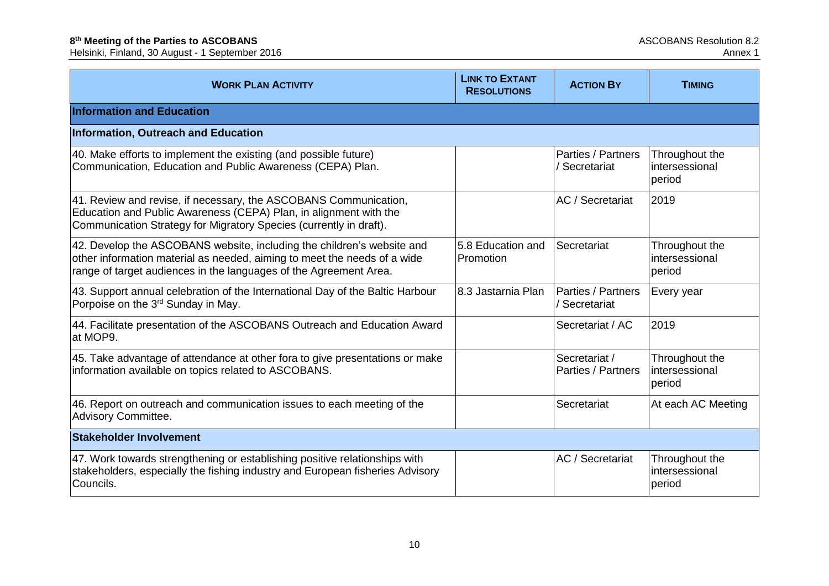| <b>WORK PLAN ACTIVITY</b>                                                                                                                                                                                               | <b>LINK TO EXTANT</b><br><b>RESOLUTIONS</b> | <b>ACTION BY</b>                    | <b>TIMING</b>                              |
|-------------------------------------------------------------------------------------------------------------------------------------------------------------------------------------------------------------------------|---------------------------------------------|-------------------------------------|--------------------------------------------|
| <b>Information and Education</b>                                                                                                                                                                                        |                                             |                                     |                                            |
| Information, Outreach and Education                                                                                                                                                                                     |                                             |                                     |                                            |
| 40. Make efforts to implement the existing (and possible future)<br>Communication, Education and Public Awareness (CEPA) Plan.                                                                                          |                                             | Parties / Partners<br>/ Secretariat | Throughout the<br>intersessional<br>period |
| 41. Review and revise, if necessary, the ASCOBANS Communication,<br>Education and Public Awareness (CEPA) Plan, in alignment with the<br>Communication Strategy for Migratory Species (currently in draft).             |                                             | AC / Secretariat                    | 2019                                       |
| 42. Develop the ASCOBANS website, including the children's website and<br>other information material as needed, aiming to meet the needs of a wide<br>range of target audiences in the languages of the Agreement Area. | 5.8 Education and<br>Promotion              | Secretariat                         | Throughout the<br>intersessional<br>period |
| 43. Support annual celebration of the International Day of the Baltic Harbour<br>Porpoise on the 3 <sup>rd</sup> Sunday in May.                                                                                         | 8.3 Jastarnia Plan                          | Parties / Partners<br>/ Secretariat | Every year                                 |
| 44. Facilitate presentation of the ASCOBANS Outreach and Education Award<br>at MOP9.                                                                                                                                    |                                             | Secretariat / AC                    | 2019                                       |
| 45. Take advantage of attendance at other fora to give presentations or make<br>information available on topics related to ASCOBANS.                                                                                    |                                             | Secretariat /<br>Parties / Partners | Throughout the<br>intersessional<br>period |
| 46. Report on outreach and communication issues to each meeting of the<br>Advisory Committee.                                                                                                                           |                                             | Secretariat                         | At each AC Meeting                         |
| <b>Stakeholder Involvement</b>                                                                                                                                                                                          |                                             |                                     |                                            |
| 47. Work towards strengthening or establishing positive relationships with<br>stakeholders, especially the fishing industry and European fisheries Advisory<br>Councils.                                                |                                             | AC / Secretariat                    | Throughout the<br>intersessional<br>period |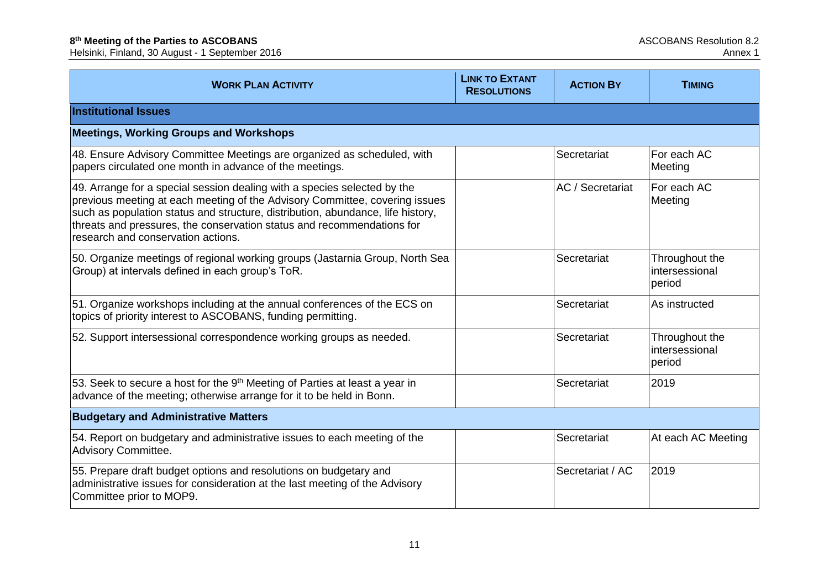| <b>WORK PLAN ACTIVITY</b>                                                                                                                                                                                                                                                                                                                                  | <b>LINK TO EXTANT</b><br><b>RESOLUTIONS</b> | <b>ACTION BY</b> | <b>TIMING</b>                              |
|------------------------------------------------------------------------------------------------------------------------------------------------------------------------------------------------------------------------------------------------------------------------------------------------------------------------------------------------------------|---------------------------------------------|------------------|--------------------------------------------|
| <b>Institutional Issues</b>                                                                                                                                                                                                                                                                                                                                |                                             |                  |                                            |
| <b>Meetings, Working Groups and Workshops</b>                                                                                                                                                                                                                                                                                                              |                                             |                  |                                            |
| 48. Ensure Advisory Committee Meetings are organized as scheduled, with<br>papers circulated one month in advance of the meetings.                                                                                                                                                                                                                         |                                             | Secretariat      | For each AC<br>Meeting                     |
| 49. Arrange for a special session dealing with a species selected by the<br>previous meeting at each meeting of the Advisory Committee, covering issues<br>such as population status and structure, distribution, abundance, life history,<br>threats and pressures, the conservation status and recommendations for<br>research and conservation actions. |                                             | AC / Secretariat | For each AC<br>Meeting                     |
| 50. Organize meetings of regional working groups (Jastarnia Group, North Sea<br>Group) at intervals defined in each group's ToR.                                                                                                                                                                                                                           |                                             | Secretariat      | Throughout the<br>intersessional<br>period |
| 51. Organize workshops including at the annual conferences of the ECS on<br>topics of priority interest to ASCOBANS, funding permitting.                                                                                                                                                                                                                   |                                             | Secretariat      | As instructed                              |
| 52. Support intersessional correspondence working groups as needed.                                                                                                                                                                                                                                                                                        |                                             | Secretariat      | Throughout the<br>intersessional<br>period |
| 53. Seek to secure a host for the 9 <sup>th</sup> Meeting of Parties at least a year in<br>advance of the meeting; otherwise arrange for it to be held in Bonn.                                                                                                                                                                                            |                                             | Secretariat      | 2019                                       |
| <b>Budgetary and Administrative Matters</b>                                                                                                                                                                                                                                                                                                                |                                             |                  |                                            |
| 54. Report on budgetary and administrative issues to each meeting of the<br>Advisory Committee.                                                                                                                                                                                                                                                            |                                             | Secretariat      | At each AC Meeting                         |
| 55. Prepare draft budget options and resolutions on budgetary and<br>administrative issues for consideration at the last meeting of the Advisory<br>Committee prior to MOP9.                                                                                                                                                                               |                                             | Secretariat / AC | 2019                                       |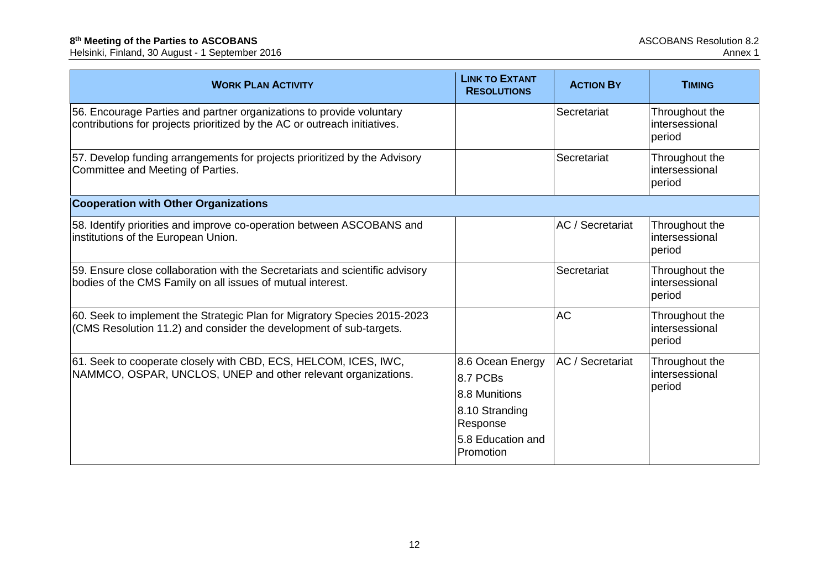| <b>WORK PLAN ACTIVITY</b>                                                                                                                         | <b>LINK TO EXTANT</b><br><b>RESOLUTIONS</b> | <b>ACTION BY</b> | <b>TIMING</b>                              |
|---------------------------------------------------------------------------------------------------------------------------------------------------|---------------------------------------------|------------------|--------------------------------------------|
| 56. Encourage Parties and partner organizations to provide voluntary<br>contributions for projects prioritized by the AC or outreach initiatives. |                                             | Secretariat      | Throughout the<br>intersessional<br>period |
| 57. Develop funding arrangements for projects prioritized by the Advisory<br>Committee and Meeting of Parties.                                    |                                             | Secretariat      | Throughout the<br>intersessional<br>period |
| <b>Cooperation with Other Organizations</b>                                                                                                       |                                             |                  |                                            |
| 58. Identify priorities and improve co-operation between ASCOBANS and<br>institutions of the European Union.                                      |                                             | AC / Secretariat | Throughout the<br>intersessional<br>period |
| 59. Ensure close collaboration with the Secretariats and scientific advisory<br>bodies of the CMS Family on all issues of mutual interest.        |                                             | Secretariat      | Throughout the<br>intersessional<br>period |
| 60. Seek to implement the Strategic Plan for Migratory Species 2015-2023<br>(CMS Resolution 11.2) and consider the development of sub-targets.    |                                             | <b>AC</b>        | Throughout the<br>intersessional<br>period |
| 61. Seek to cooperate closely with CBD, ECS, HELCOM, ICES, IWC,                                                                                   | 8.6 Ocean Energy                            | AC / Secretariat | Throughout the                             |
| NAMMCO, OSPAR, UNCLOS, UNEP and other relevant organizations.                                                                                     | 8.7 PCBs                                    |                  | intersessional<br>period                   |
|                                                                                                                                                   | 8.8 Munitions                               |                  |                                            |
|                                                                                                                                                   | 8.10 Stranding<br>Response                  |                  |                                            |
|                                                                                                                                                   | 5.8 Education and<br>Promotion              |                  |                                            |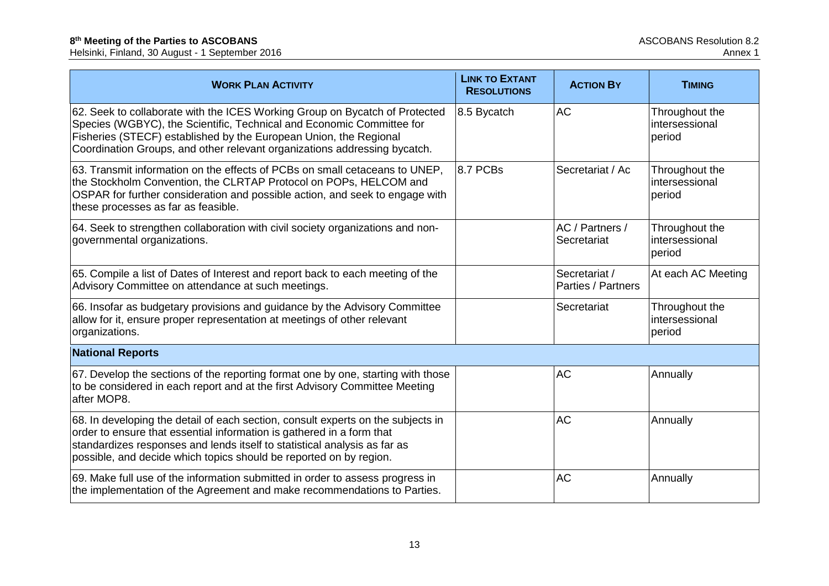| <b>WORK PLAN ACTIVITY</b>                                                                                                                                                                                                                                                                                    | <b>LINK TO EXTANT</b><br><b>RESOLUTIONS</b> | <b>ACTION BY</b>                    | <b>TIMING</b>                              |
|--------------------------------------------------------------------------------------------------------------------------------------------------------------------------------------------------------------------------------------------------------------------------------------------------------------|---------------------------------------------|-------------------------------------|--------------------------------------------|
| 62. Seek to collaborate with the ICES Working Group on Bycatch of Protected<br>Species (WGBYC), the Scientific, Technical and Economic Committee for<br>Fisheries (STECF) established by the European Union, the Regional<br>Coordination Groups, and other relevant organizations addressing bycatch.       | 8.5 Bycatch                                 | <b>AC</b>                           | Throughout the<br>intersessional<br>period |
| 63. Transmit information on the effects of PCBs on small cetaceans to UNEP,<br>the Stockholm Convention, the CLRTAP Protocol on POPs, HELCOM and<br>OSPAR for further consideration and possible action, and seek to engage with<br>these processes as far as feasible.                                      | 8.7 PCBs                                    | Secretariat / Ac                    | Throughout the<br>intersessional<br>period |
| 64. Seek to strengthen collaboration with civil society organizations and non-<br>governmental organizations.                                                                                                                                                                                                |                                             | AC / Partners /<br>Secretariat      | Throughout the<br>intersessional<br>period |
| 65. Compile a list of Dates of Interest and report back to each meeting of the<br>Advisory Committee on attendance at such meetings.                                                                                                                                                                         |                                             | Secretariat /<br>Parties / Partners | At each AC Meeting                         |
| 66. Insofar as budgetary provisions and guidance by the Advisory Committee<br>allow for it, ensure proper representation at meetings of other relevant<br>organizations.                                                                                                                                     |                                             | Secretariat                         | Throughout the<br>intersessional<br>period |
| <b>National Reports</b>                                                                                                                                                                                                                                                                                      |                                             |                                     |                                            |
| 67. Develop the sections of the reporting format one by one, starting with those<br>to be considered in each report and at the first Advisory Committee Meeting<br>after MOP8.                                                                                                                               |                                             | <b>AC</b>                           | Annually                                   |
| 68. In developing the detail of each section, consult experts on the subjects in<br>order to ensure that essential information is gathered in a form that<br>standardizes responses and lends itself to statistical analysis as far as<br>possible, and decide which topics should be reported on by region. |                                             | <b>AC</b>                           | Annually                                   |
| 69. Make full use of the information submitted in order to assess progress in<br>the implementation of the Agreement and make recommendations to Parties.                                                                                                                                                    |                                             | <b>AC</b>                           | Annually                                   |